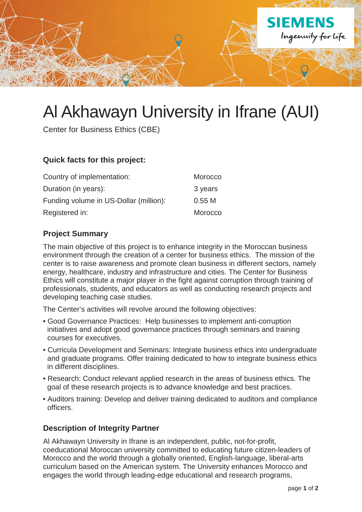

# Al Akhawayn University in Ifrane (AUI)

Center for Business Ethics (CBE)

### **Quick facts for this project:**

| Country of implementation:             | Morocco |
|----------------------------------------|---------|
| Duration (in years):                   | 3 years |
| Funding volume in US-Dollar (million): | 0.55M   |
| Registered in:                         | Morocco |

#### **Project Summary**

The main objective of this project is to enhance integrity in the Moroccan business environment through the creation of a center for business ethics. The mission of the center is to raise awareness and promote clean business in different sectors, namely energy, healthcare, industry and infrastructure and cities. The Center for Business Ethics will constitute a major player in the fight against corruption through training of professionals, students, and educators as well as conducting research projects and developing teaching case studies.

The Center's activities will revolve around the following objectives:

- Good Governance Practices: Help businesses to implement anti-corruption initiatives and adopt good governance practices through seminars and training courses for executives.
- Curricula Development and Seminars: Integrate business ethics into undergraduate and graduate programs. Offer training dedicated to how to integrate business ethics in different disciplines.
- Research: Conduct relevant applied research in the areas of business ethics. The goal of these research projects is to advance knowledge and best practices.
- Auditors training: Develop and deliver training dedicated to auditors and compliance officers.

## **Description of Integrity Partner**

Al Akhawayn University in Ifrane is an independent, public, not-for-profit, coeducational Moroccan university committed to educating future citizen-leaders of Morocco and the world through a globally oriented, English-language, liberal-arts curriculum based on the American system. The University enhances Morocco and engages the world through leading-edge educational and research programs,